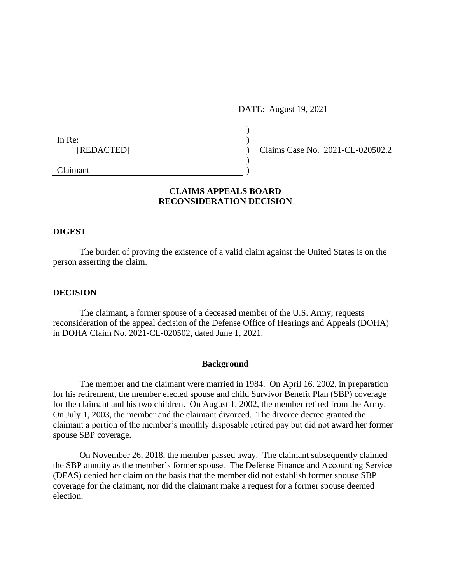DATE: August 19, 2021

| In Re:     |                                  |
|------------|----------------------------------|
| [REDACTED] | Claims Case No. 2021-CL-020502.2 |
|            |                                  |
| Claimant   |                                  |

# **CLAIMS APPEALS BOARD RECONSIDERATION DECISION**

## **DIGEST**

The burden of proving the existence of a valid claim against the United States is on the person asserting the claim.

## **DECISION**

The claimant, a former spouse of a deceased member of the U.S. Army, requests reconsideration of the appeal decision of the Defense Office of Hearings and Appeals (DOHA) in DOHA Claim No. 2021-CL-020502, dated June 1, 2021.

#### **Background**

The member and the claimant were married in 1984. On April 16. 2002, in preparation for his retirement, the member elected spouse and child Survivor Benefit Plan (SBP) coverage for the claimant and his two children. On August 1, 2002, the member retired from the Army. On July 1, 2003, the member and the claimant divorced. The divorce decree granted the claimant a portion of the member's monthly disposable retired pay but did not award her former spouse SBP coverage.

On November 26, 2018, the member passed away. The claimant subsequently claimed the SBP annuity as the member's former spouse. The Defense Finance and Accounting Service (DFAS) denied her claim on the basis that the member did not establish former spouse SBP coverage for the claimant, nor did the claimant make a request for a former spouse deemed election.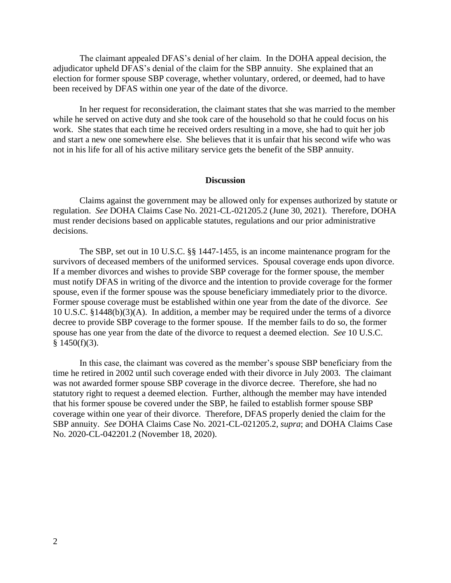The claimant appealed DFAS's denial of her claim. In the DOHA appeal decision, the adjudicator upheld DFAS's denial of the claim for the SBP annuity. She explained that an election for former spouse SBP coverage, whether voluntary, ordered, or deemed, had to have been received by DFAS within one year of the date of the divorce.

In her request for reconsideration, the claimant states that she was married to the member while he served on active duty and she took care of the household so that he could focus on his work. She states that each time he received orders resulting in a move, she had to quit her job and start a new one somewhere else. She believes that it is unfair that his second wife who was not in his life for all of his active military service gets the benefit of the SBP annuity.

## **Discussion**

Claims against the government may be allowed only for expenses authorized by statute or regulation. *See* DOHA Claims Case No. 2021-CL-021205.2 (June 30, 2021). Therefore, DOHA must render decisions based on applicable statutes, regulations and our prior administrative decisions.

The SBP, set out in 10 U.S.C. §§ 1447-1455, is an income maintenance program for the survivors of deceased members of the uniformed services. Spousal coverage ends upon divorce. If a member divorces and wishes to provide SBP coverage for the former spouse, the member must notify DFAS in writing of the divorce and the intention to provide coverage for the former spouse, even if the former spouse was the spouse beneficiary immediately prior to the divorce. Former spouse coverage must be established within one year from the date of the divorce. *See* 10 U.S.C. §1448(b)(3)(A). In addition, a member may be required under the terms of a divorce decree to provide SBP coverage to the former spouse. If the member fails to do so, the former spouse has one year from the date of the divorce to request a deemed election. *See* 10 U.S.C.  $§$  1450(f)(3).

In this case, the claimant was covered as the member's spouse SBP beneficiary from the time he retired in 2002 until such coverage ended with their divorce in July 2003. The claimant was not awarded former spouse SBP coverage in the divorce decree. Therefore, she had no statutory right to request a deemed election. Further, although the member may have intended that his former spouse be covered under the SBP, he failed to establish former spouse SBP coverage within one year of their divorce. Therefore, DFAS properly denied the claim for the SBP annuity. *See* DOHA Claims Case No. 2021-CL-021205.2, *supra*; and DOHA Claims Case No. 2020-CL-042201.2 (November 18, 2020).